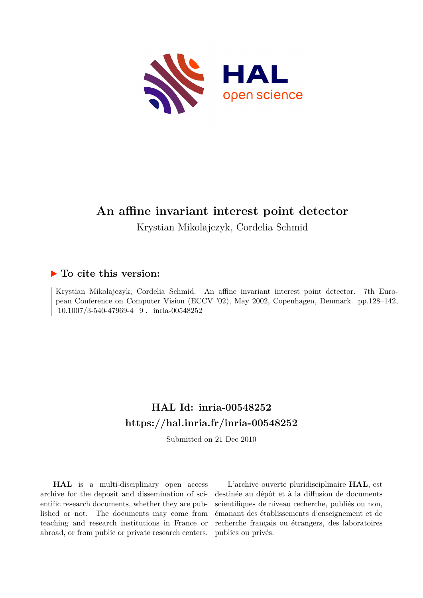

# **An affine invariant interest point detector**

Krystian Mikolajczyk, Cordelia Schmid

## **To cite this version:**

Krystian Mikolajczyk, Cordelia Schmid. An affine invariant interest point detector. 7th European Conference on Computer Vision (ECCV '02), May 2002, Copenhagen, Denmark. pp.128–142, 10.1007/3-540-47969-4 9. inria-00548252

## **HAL Id: inria-00548252 <https://hal.inria.fr/inria-00548252>**

Submitted on 21 Dec 2010

**HAL** is a multi-disciplinary open access archive for the deposit and dissemination of scientific research documents, whether they are published or not. The documents may come from teaching and research institutions in France or abroad, or from public or private research centers.

L'archive ouverte pluridisciplinaire **HAL**, est destinée au dépôt et à la diffusion de documents scientifiques de niveau recherche, publiés ou non, émanant des établissements d'enseignement et de recherche français ou étrangers, des laboratoires publics ou privés.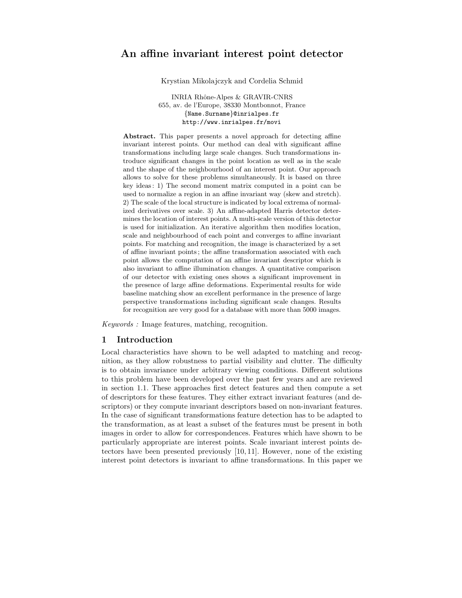## An affine invariant interest point detector

Krystian Mikolajczyk and Cordelia Schmid

INRIA Rhˆone-Alpes & GRAVIR-CNRS 655, av. de l'Europe, 38330 Montbonnot, France {Name.Surname}@inrialpes.fr http://www.inrialpes.fr/movi

Abstract. This paper presents a novel approach for detecting affine invariant interest points. Our method can deal with significant affine transformations including large scale changes. Such transformations introduce significant changes in the point location as well as in the scale and the shape of the neighbourhood of an interest point. Our approach allows to solve for these problems simultaneously. It is based on three key ideas : 1) The second moment matrix computed in a point can be used to normalize a region in an affine invariant way (skew and stretch). 2) The scale of the local structure is indicated by local extrema of normalized derivatives over scale. 3) An affine-adapted Harris detector determines the location of interest points. A multi-scale version of this detector is used for initialization. An iterative algorithm then modifies location, scale and neighbourhood of each point and converges to affine invariant points. For matching and recognition, the image is characterized by a set of affine invariant points ; the affine transformation associated with each point allows the computation of an affine invariant descriptor which is also invariant to affine illumination changes. A quantitative comparison of our detector with existing ones shows a significant improvement in the presence of large affine deformations. Experimental results for wide baseline matching show an excellent performance in the presence of large perspective transformations including significant scale changes. Results for recognition are very good for a database with more than 5000 images.

Keywords : Image features, matching, recognition.

#### 1 Introduction

Local characteristics have shown to be well adapted to matching and recognition, as they allow robustness to partial visibility and clutter. The difficulty is to obtain invariance under arbitrary viewing conditions. Different solutions to this problem have been developed over the past few years and are reviewed in section 1.1. These approaches first detect features and then compute a set of descriptors for these features. They either extract invariant features (and descriptors) or they compute invariant descriptors based on non-invariant features. In the case of significant transformations feature detection has to be adapted to the transformation, as at least a subset of the features must be present in both images in order to allow for correspondences. Features which have shown to be particularly appropriate are interest points. Scale invariant interest points detectors have been presented previously [10, 11]. However, none of the existing interest point detectors is invariant to affine transformations. In this paper we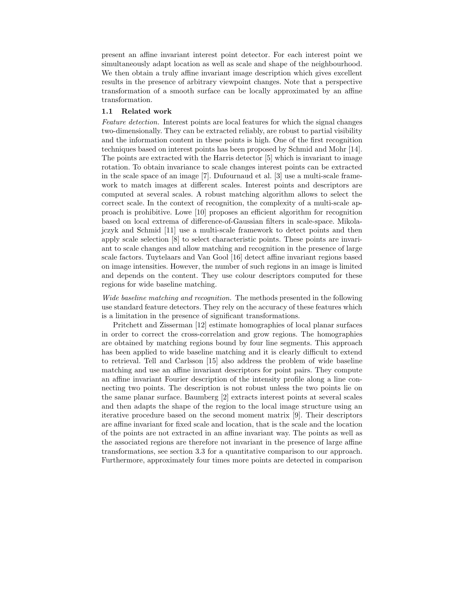present an affine invariant interest point detector. For each interest point we simultaneously adapt location as well as scale and shape of the neighbourhood. We then obtain a truly affine invariant image description which gives excellent results in the presence of arbitrary viewpoint changes. Note that a perspective transformation of a smooth surface can be locally approximated by an affine transformation.

#### 1.1 Related work

Feature detection. Interest points are local features for which the signal changes two-dimensionally. They can be extracted reliably, are robust to partial visibility and the information content in these points is high. One of the first recognition techniques based on interest points has been proposed by Schmid and Mohr [14]. The points are extracted with the Harris detector [5] which is invariant to image rotation. To obtain invariance to scale changes interest points can be extracted in the scale space of an image [7]. Dufournaud et al. [3] use a multi-scale framework to match images at different scales. Interest points and descriptors are computed at several scales. A robust matching algorithm allows to select the correct scale. In the context of recognition, the complexity of a multi-scale approach is prohibitive. Lowe [10] proposes an efficient algorithm for recognition based on local extrema of difference-of-Gaussian filters in scale-space. Mikolajczyk and Schmid [11] use a multi-scale framework to detect points and then apply scale selection [8] to select characteristic points. These points are invariant to scale changes and allow matching and recognition in the presence of large scale factors. Tuytelaars and Van Gool [16] detect affine invariant regions based on image intensities. However, the number of such regions in an image is limited and depends on the content. They use colour descriptors computed for these regions for wide baseline matching.

Wide baseline matching and recognition. The methods presented in the following use standard feature detectors. They rely on the accuracy of these features which is a limitation in the presence of significant transformations.

Pritchett and Zisserman [12] estimate homographies of local planar surfaces in order to correct the cross-correlation and grow regions. The homographies are obtained by matching regions bound by four line segments. This approach has been applied to wide baseline matching and it is clearly difficult to extend to retrieval. Tell and Carlsson [15] also address the problem of wide baseline matching and use an affine invariant descriptors for point pairs. They compute an affine invariant Fourier description of the intensity profile along a line connecting two points. The description is not robust unless the two points lie on the same planar surface. Baumberg [2] extracts interest points at several scales and then adapts the shape of the region to the local image structure using an iterative procedure based on the second moment matrix [9]. Their descriptors are affine invariant for fixed scale and location, that is the scale and the location of the points are not extracted in an affine invariant way. The points as well as the associated regions are therefore not invariant in the presence of large affine transformations, see section 3.3 for a quantitative comparison to our approach. Furthermore, approximately four times more points are detected in comparison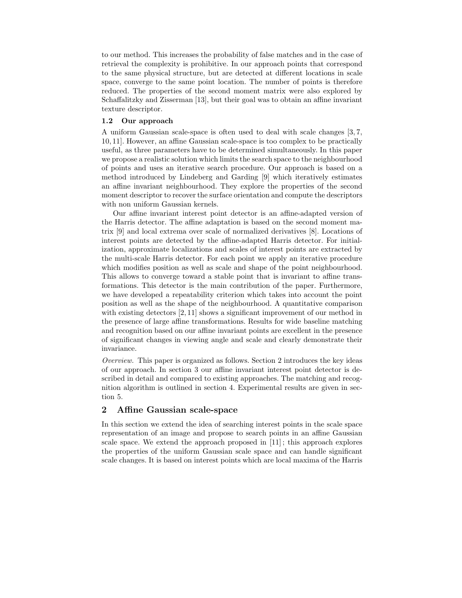to our method. This increases the probability of false matches and in the case of retrieval the complexity is prohibitive. In our approach points that correspond to the same physical structure, but are detected at different locations in scale space, converge to the same point location. The number of points is therefore reduced. The properties of the second moment matrix were also explored by Schaffalitzky and Zisserman [13], but their goal was to obtain an affine invariant texture descriptor.

#### 1.2 Our approach

A uniform Gaussian scale-space is often used to deal with scale changes [3, 7, 10, 11]. However, an affine Gaussian scale-space is too complex to be practically useful, as three parameters have to be determined simultaneously. In this paper we propose a realistic solution which limits the search space to the neighbourhood of points and uses an iterative search procedure. Our approach is based on a method introduced by Lindeberg and Garding [9] which iteratively estimates an affine invariant neighbourhood. They explore the properties of the second moment descriptor to recover the surface orientation and compute the descriptors with non uniform Gaussian kernels.

Our affine invariant interest point detector is an affine-adapted version of the Harris detector. The affine adaptation is based on the second moment matrix [9] and local extrema over scale of normalized derivatives [8]. Locations of interest points are detected by the affine-adapted Harris detector. For initialization, approximate localizations and scales of interest points are extracted by the multi-scale Harris detector. For each point we apply an iterative procedure which modifies position as well as scale and shape of the point neighbourhood. This allows to converge toward a stable point that is invariant to affine transformations. This detector is the main contribution of the paper. Furthermore, we have developed a repeatability criterion which takes into account the point position as well as the shape of the neighbourhood. A quantitative comparison with existing detectors [2, 11] shows a significant improvement of our method in the presence of large affine transformations. Results for wide baseline matching and recognition based on our affine invariant points are excellent in the presence of significant changes in viewing angle and scale and clearly demonstrate their invariance.

Overview. This paper is organized as follows. Section 2 introduces the key ideas of our approach. In section 3 our affine invariant interest point detector is described in detail and compared to existing approaches. The matching and recognition algorithm is outlined in section 4. Experimental results are given in section 5.

#### 2 Affine Gaussian scale-space

In this section we extend the idea of searching interest points in the scale space representation of an image and propose to search points in an affine Gaussian scale space. We extend the approach proposed in [11] ; this approach explores the properties of the uniform Gaussian scale space and can handle significant scale changes. It is based on interest points which are local maxima of the Harris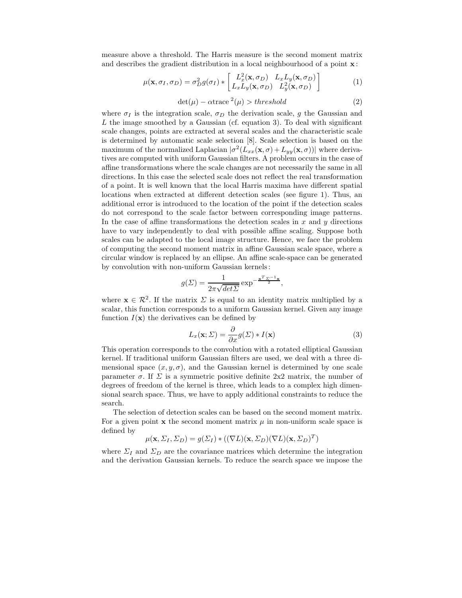measure above a threshold. The Harris measure is the second moment matrix and describes the gradient distribution in a local neighbourhood of a point  $x$ :

$$
\mu(\mathbf{x}, \sigma_I, \sigma_D) = \sigma_D^2 g(\sigma_I) * \begin{bmatrix} L_x^2(\mathbf{x}, \sigma_D) & L_x L_y(\mathbf{x}, \sigma_D) \\ L_x L_y(\mathbf{x}, \sigma_D) & L_y^2(\mathbf{x}, \sigma_D) \end{bmatrix}
$$
(1)

$$
\det(\mu) - \alpha \text{trace}^2(\mu) > threshold \tag{2}
$$

where  $\sigma_I$  is the integration scale,  $\sigma_D$  the derivation scale, g the Gaussian and L the image smoothed by a Gaussian (cf. equation 3). To deal with significant scale changes, points are extracted at several scales and the characteristic scale is determined by automatic scale selection [8]. Scale selection is based on the maximum of the normalized Laplacian  $|\sigma^2(L_{xx}(\mathbf{x}, \sigma) + L_{yy}(\mathbf{x}, \sigma))|$  where derivatives are computed with uniform Gaussian filters. A problem occurs in the case of affine transformations where the scale changes are not necessarily the same in all directions. In this case the selected scale does not reflect the real transformation of a point. It is well known that the local Harris maxima have different spatial locations when extracted at different detection scales (see figure 1). Thus, an additional error is introduced to the location of the point if the detection scales do not correspond to the scale factor between corresponding image patterns. In the case of affine transformations the detection scales in  $x$  and  $y$  directions have to vary independently to deal with possible affine scaling. Suppose both scales can be adapted to the local image structure. Hence, we face the problem of computing the second moment matrix in affine Gaussian scale space, where a circular window is replaced by an ellipse. An affine scale-space can be generated by convolution with non-uniform Gaussian kernels:

$$
g(\Sigma) = \frac{1}{2\pi\sqrt{det \Sigma}} \exp^{-\frac{\mathbf{x}^T \Sigma^{-1} \mathbf{x}}{2}},
$$

where  $\mathbf{x} \in \mathcal{R}^2$ . If the matrix  $\Sigma$  is equal to an identity matrix multiplied by a scalar, this function corresponds to a uniform Gaussian kernel. Given any image function  $I(\mathbf{x})$  the derivatives can be defined by

$$
L_x(\mathbf{x}; \Sigma) = \frac{\partial}{\partial x} g(\Sigma) * I(\mathbf{x})
$$
\n(3)

This operation corresponds to the convolution with a rotated elliptical Gaussian kernel. If traditional uniform Gaussian filters are used, we deal with a three dimensional space  $(x, y, \sigma)$ , and the Gaussian kernel is determined by one scale parameter  $\sigma$ . If  $\Sigma$  is a symmetric positive definite 2x2 matrix, the number of degrees of freedom of the kernel is three, which leads to a complex high dimensional search space. Thus, we have to apply additional constraints to reduce the search.

The selection of detection scales can be based on the second moment matrix. For a given point  $x$  the second moment matrix  $\mu$  in non-uniform scale space is defined by

$$
\mu(\mathbf{x}, \Sigma_I, \Sigma_D) = g(\Sigma_I) * ((\nabla L)(\mathbf{x}, \Sigma_D)(\nabla L)(\mathbf{x}, \Sigma_D)^T)
$$

where  $\Sigma_I$  and  $\Sigma_D$  are the covariance matrices which determine the integration and the derivation Gaussian kernels. To reduce the search space we impose the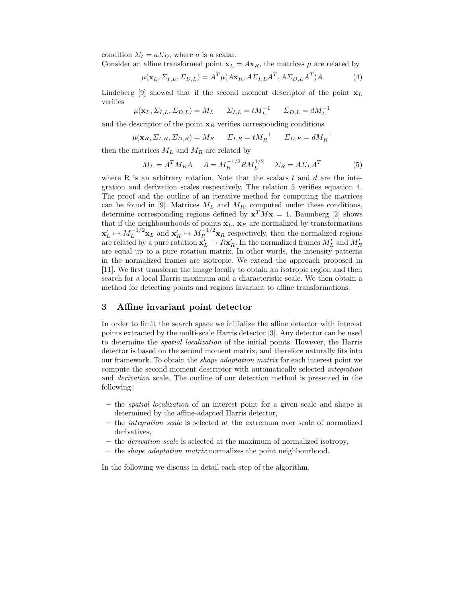condition  $\Sigma_I = a \Sigma_D$ , where a is a scalar.

Consider an affine transformed point  $x_L = Ax_R$ , the matrices  $\mu$  are related by

$$
\mu(\mathbf{x}_L, \Sigma_{I,L}, \Sigma_{D,L}) = A^T \mu(A \mathbf{x}_R, A \Sigma_{I,L} A^T, A \Sigma_{D,L} A^T) A
$$
(4)

Lindeberg [9] showed that if the second moment descriptor of the point  $x_L$ verifies

 $\mu(\mathbf{x}_L, \Sigma_{I,L}, \Sigma_{D,L}) = M_L \qquad \Sigma_{I,L} = t M_L^{-1} \qquad \Sigma_{D,L} = d M_L^{-1}$ 

and the descriptor of the point  $x_R$  verifies corresponding conditions

 $\mu(\mathbf{x}_R, \Sigma_{I,R}, \Sigma_{D,R}) = M_R$   $\Sigma_{I,R} = tM_R^{-1}$   $\Sigma_{D,R} = dM_R^{-1}$ 

then the matrices  $M_L$  and  $M_R$  are related by

$$
M_L = A^T M_R A \t A = M_R^{-1/2} R M_L^{1/2} \t \Sigma_R = A \Sigma_L A^T \t (5)
$$

where R is an arbitrary rotation. Note that the scalars  $t$  and  $d$  are the integration and derivation scales respectively. The relation 5 verifies equation 4. The proof and the outline of an iterative method for computing the matrices can be found in [9]. Matrices  $M_L$  and  $M_R$ , computed under these conditions, determine corresponding regions defined by  $x^T M x = 1$ . Baumberg [2] shows that if the neighbourhoods of points  $x_L$ ,  $x_R$  are normalized by transformations  $\mathbf{x}_i'$  $L \mapsto M_L^{-1/2} \mathbf{x}_L$  and  $\mathbf{x}'_R \mapsto M_R^{-1/2} \mathbf{x}_R$  respectively, then the normalized regions are related by a pure rotation  $\mathbf{x}'_1$  $L'_L \mapsto R\mathbf{x}'_R$ . In the normalized frames  $M'_L$  and  $M'_R$ are equal up to a pure rotation matrix. In other words, the intensity patterns in the normalized frames are isotropic. We extend the approach proposed in [11]. We first transform the image locally to obtain an isotropic region and then search for a local Harris maximum and a characteristic scale. We then obtain a method for detecting points and regions invariant to affine transformations.

### 3 Affine invariant point detector

In order to limit the search space we initialize the affine detector with interest points extracted by the multi-scale Harris detector [3]. Any detector can be used to determine the spatial localization of the initial points. However, the Harris detector is based on the second moment matrix, and therefore naturally fits into our framework. To obtain the shape adaptation matrix for each interest point we compute the second moment descriptor with automatically selected integration and derivation scale. The outline of our detection method is presented in the following :

- the spatial localization of an interest point for a given scale and shape is determined by the affine-adapted Harris detector,
- the integration scale is selected at the extremum over scale of normalized derivatives,
- the derivation scale is selected at the maximum of normalized isotropy,
- the shape adaptation matrix normalizes the point neighbourhood.

In the following we discuss in detail each step of the algorithm.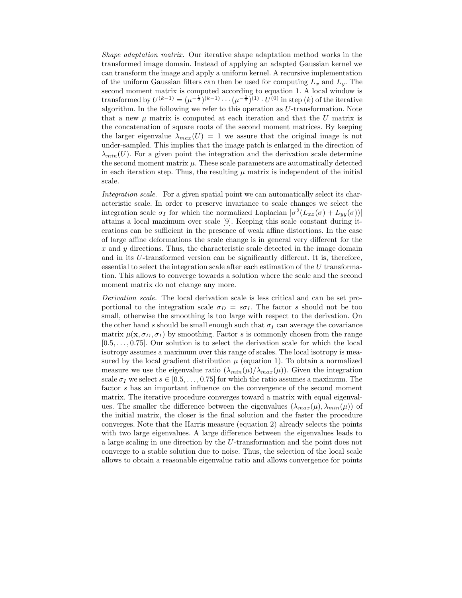Shape adaptation matrix. Our iterative shape adaptation method works in the transformed image domain. Instead of applying an adapted Gaussian kernel we can transform the image and apply a uniform kernel. A recursive implementation of the uniform Gaussian filters can then be used for computing  $L_x$  and  $L_y$ . The second moment matrix is computed according to equation 1. A local window is transformed by  $U^{(k-1)} = (\mu^{-\frac{1}{2}})^{(k-1)} \cdots (\mu^{-\frac{1}{2}})^{(1)} \cdot U^{(0)}$  in step  $(k)$  of the iterative algorithm. In the following we refer to this operation as  $U$ -transformation. Note that a new  $\mu$  matrix is computed at each iteration and that the U matrix is the concatenation of square roots of the second moment matrices. By keeping the larger eigenvalue  $\lambda_{max}(U) = 1$  we assure that the original image is not under-sampled. This implies that the image patch is enlarged in the direction of  $\lambda_{min}(U)$ . For a given point the integration and the derivation scale determine the second moment matrix  $\mu$ . These scale parameters are automatically detected in each iteration step. Thus, the resulting  $\mu$  matrix is independent of the initial scale.

Integration scale. For a given spatial point we can automatically select its characteristic scale. In order to preserve invariance to scale changes we select the integration scale  $\sigma_I$  for which the normalized Laplacian  $|\sigma^2(L_{xx}(\sigma) + L_{yy}(\sigma))|$ attains a local maximum over scale [9]. Keeping this scale constant during iterations can be sufficient in the presence of weak affine distortions. In the case of large affine deformations the scale change is in general very different for the  $x$  and  $y$  directions. Thus, the characteristic scale detected in the image domain and in its U-transformed version can be significantly different. It is, therefore, essential to select the integration scale after each estimation of the  $U$  transformation. This allows to converge towards a solution where the scale and the second moment matrix do not change any more.

Derivation scale. The local derivation scale is less critical and can be set proportional to the integration scale  $\sigma_D = s\sigma_I$ . The factor s should not be too small, otherwise the smoothing is too large with respect to the derivation. On the other hand s should be small enough such that  $\sigma<sub>I</sub>$  can average the covariance matrix  $\mu(\mathbf{x}, \sigma_D, \sigma_I)$  by smoothing. Factor s is commonly chosen from the range  $[0.5, \ldots, 0.75]$ . Our solution is to select the derivation scale for which the local isotropy assumes a maximum over this range of scales. The local isotropy is measured by the local gradient distribution  $\mu$  (equation 1). To obtain a normalized measure we use the eigenvalue ratio  $(\lambda_{min}(\mu)/\lambda_{max}(\mu))$ . Given the integration scale  $\sigma_I$  we select  $s \in [0.5, \ldots, 0.75]$  for which the ratio assumes a maximum. The factor s has an important influence on the convergence of the second moment matrix. The iterative procedure converges toward a matrix with equal eigenvalues. The smaller the difference between the eigenvalues  $(\lambda_{max}(\mu), \lambda_{min}(\mu))$  of the initial matrix, the closer is the final solution and the faster the procedure converges. Note that the Harris measure (equation 2) already selects the points with two large eigenvalues. A large difference between the eigenvalues leads to a large scaling in one direction by the U-transformation and the point does not converge to a stable solution due to noise. Thus, the selection of the local scale allows to obtain a reasonable eigenvalue ratio and allows convergence for points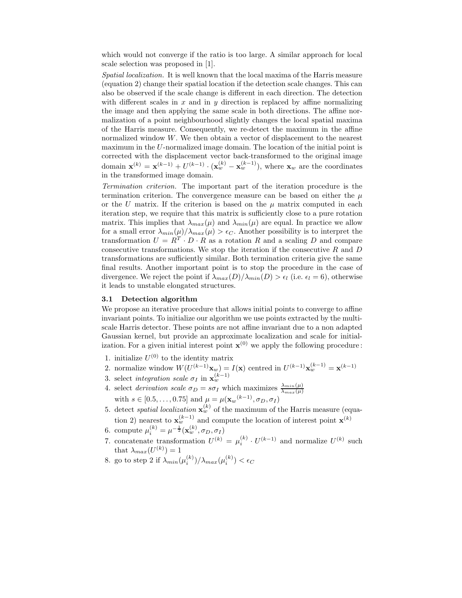which would not converge if the ratio is too large. A similar approach for local scale selection was proposed in [1].

Spatial localization. It is well known that the local maxima of the Harris measure (equation 2) change their spatial location if the detection scale changes. This can also be observed if the scale change is different in each direction. The detection with different scales in  $x$  and in  $y$  direction is replaced by affine normalizing the image and then applying the same scale in both directions. The affine normalization of a point neighbourhood slightly changes the local spatial maxima of the Harris measure. Consequently, we re-detect the maximum in the affine normalized window W. We then obtain a vector of displacement to the nearest maximum in the U-normalized image domain. The location of the initial point is corrected with the displacement vector back-transformed to the original image domain  $\mathbf{x}^{(k)} = \mathbf{x}^{(k-1)} + U^{(k-1)} \cdot (\mathbf{x}_w^{(k)} - \mathbf{x}_w^{(k-1)})$ , where  $\mathbf{x}_w$  are the coordinates in the transformed image domain.

Termination criterion. The important part of the iteration procedure is the termination criterion. The convergence measure can be based on either the  $\mu$ or the U matrix. If the criterion is based on the  $\mu$  matrix computed in each iteration step, we require that this matrix is sufficiently close to a pure rotation matrix. This implies that  $\lambda_{max}(\mu)$  and  $\lambda_{min}(\mu)$  are equal. In practice we allow for a small error  $\lambda_{min}(\mu)/\lambda_{max}(\mu) > \epsilon_C$ . Another possibility is to interpret the transformation  $U = R^T \cdot D \cdot R$  as a rotation R and a scaling D and compare consecutive transformations. We stop the iteration if the consecutive  $R$  and  $D$ transformations are sufficiently similar. Both termination criteria give the same final results. Another important point is to stop the procedure in the case of divergence. We reject the point if  $\lambda_{max}(D)/\lambda_{min}(D) > \epsilon_l$  (i.e.  $\epsilon_l = 6$ ), otherwise it leads to unstable elongated structures.

#### 3.1 Detection algorithm

We propose an iterative procedure that allows initial points to converge to affine invariant points. To initialize our algorithm we use points extracted by the multiscale Harris detector. These points are not affine invariant due to a non adapted Gaussian kernel, but provide an approximate localization and scale for initialization. For a given initial interest point  $\mathbf{x}^{(0)}$  we apply the following procedure:

- 1. initialize  $U^{(0)}$  to the identity matrix
- 2. normalize window  $W(U^{(k-1)}\mathbf{x}_w) = I(\mathbf{x})$  centred in  $U^{(k-1)}\mathbf{x}_w^{(k-1)} = \mathbf{x}^{(k-1)}$
- 3. select *integration scale*  $\sigma_I$  in  $\mathbf{x}_w^{(k-1)}$
- 4. select derivation scale  $\sigma_D = s\sigma_I$  which maximizes  $\frac{\lambda_{min}(\mu)}{\lambda_{max}(\mu)}$ with  $s \in [0.5, ..., 0.75]$  and  $\mu = \mu(\mathbf{x}_w^{(k-1)}, \sigma_D, \sigma_I)$
- 5. detect spatial localization  $\mathbf{x}_{w}^{(k)}$  of the maximum of the Harris measure (equation 2) nearest to  $\mathbf{x}_{w}^{(k-1)}$  and compute the location of interest point  $\mathbf{x}^{(k)}$
- 6. compute  $\mu_i^{(k)} = \mu^{-\frac{1}{2}}(\mathbf{x}_w^{(k)}, \sigma_D, \sigma_I)$
- 7. concatenate transformation  $U^{(k)} = \mu_i^{(k)}$  $i^{(k)} \cdot U^{(k-1)}$  and normalize  $U^{(k)}$  such that  $\lambda_{max}(U^{(k)}) = 1$
- 8. go to step 2 if  $\lambda_{min}(\mu_i^{(k)})/\lambda_{max}(\mu_i^{(k)}) < \epsilon_C$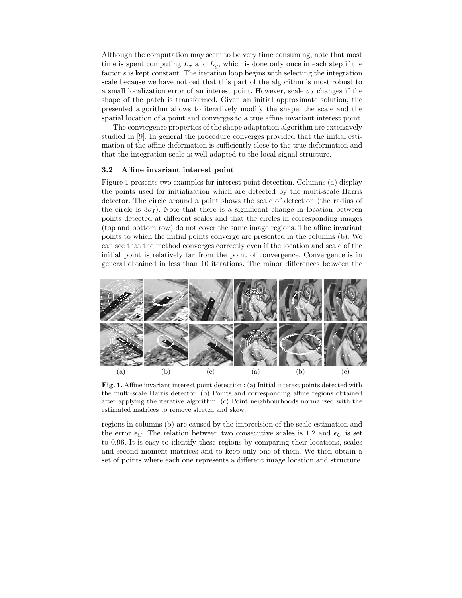Although the computation may seem to be very time consuming, note that most time is spent computing  $L_x$  and  $L_y$ , which is done only once in each step if the factor s is kept constant. The iteration loop begins with selecting the integration scale because we have noticed that this part of the algorithm is most robust to a small localization error of an interest point. However, scale  $\sigma_I$  changes if the shape of the patch is transformed. Given an initial approximate solution, the presented algorithm allows to iteratively modify the shape, the scale and the spatial location of a point and converges to a true affine invariant interest point.

The convergence properties of the shape adaptation algorithm are extensively studied in [9]. In general the procedure converges provided that the initial estimation of the affine deformation is sufficiently close to the true deformation and that the integration scale is well adapted to the local signal structure.

#### 3.2 Affine invariant interest point

Figure 1 presents two examples for interest point detection. Columns (a) display the points used for initialization which are detected by the multi-scale Harris detector. The circle around a point shows the scale of detection (the radius of the circle is  $3\sigma_I$ ). Note that there is a significant change in location between points detected at different scales and that the circles in corresponding images (top and bottom row) do not cover the same image regions. The affine invariant points to which the initial points converge are presented in the columns (b). We can see that the method converges correctly even if the location and scale of the initial point is relatively far from the point of convergence. Convergence is in general obtained in less than 10 iterations. The minor differences between the



Fig. 1. Affine invariant interest point detection : (a) Initial interest points detected with the multi-scale Harris detector. (b) Points and corresponding affine regions obtained after applying the iterative algorithm. (c) Point neighbourhoods normalized with the estimated matrices to remove stretch and skew.

regions in columns (b) are caused by the imprecision of the scale estimation and the error  $\epsilon_C$ . The relation between two consecutive scales is 1.2 and  $\epsilon_C$  is set to 0.96. It is easy to identify these regions by comparing their locations, scales and second moment matrices and to keep only one of them. We then obtain a set of points where each one represents a different image location and structure.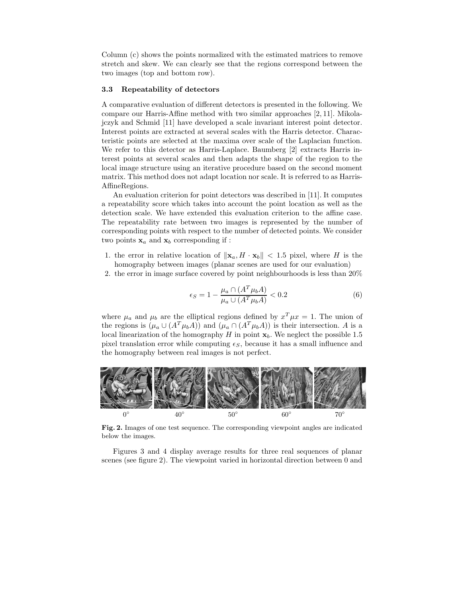Column (c) shows the points normalized with the estimated matrices to remove stretch and skew. We can clearly see that the regions correspond between the two images (top and bottom row).

#### 3.3 Repeatability of detectors

A comparative evaluation of different detectors is presented in the following. We compare our Harris-Affine method with two similar approaches [2, 11]. Mikolajczyk and Schmid [11] have developed a scale invariant interest point detector. Interest points are extracted at several scales with the Harris detector. Characteristic points are selected at the maxima over scale of the Laplacian function. We refer to this detector as Harris-Laplace. Baumberg [2] extracts Harris interest points at several scales and then adapts the shape of the region to the local image structure using an iterative procedure based on the second moment matrix. This method does not adapt location nor scale. It is referred to as Harris-AffineRegions.

An evaluation criterion for point detectors was described in [11]. It computes a repeatability score which takes into account the point location as well as the detection scale. We have extended this evaluation criterion to the affine case. The repeatability rate between two images is represented by the number of corresponding points with respect to the number of detected points. We consider two points  $x_a$  and  $x_b$  corresponding if :

- 1. the error in relative location of  $\|\mathbf{x}_a, H \cdot \mathbf{x}_b\| < 1.5$  pixel, where H is the homography between images (planar scenes are used for our evaluation)
- 2. the error in image surface covered by point neighbourhoods is less than 20%

$$
\epsilon_S = 1 - \frac{\mu_a \cap (A^T \mu_b A)}{\mu_a \cup (A^T \mu_b A)} < 0.2 \tag{6}
$$

where  $\mu_a$  and  $\mu_b$  are the elliptical regions defined by  $x^T \mu x = 1$ . The union of the regions is  $(\mu_a \cup (A^T \mu_b A))$  and  $(\mu_a \cap (A^T \mu_b A))$  is their intersection. A is a local linearization of the homography  $H$  in point  $x_b$ . We neglect the possible 1.5 pixel translation error while computing  $\epsilon_S$ , because it has a small influence and the homography between real images is not perfect.



Fig. 2. Images of one test sequence. The corresponding viewpoint angles are indicated below the images.

Figures 3 and 4 display average results for three real sequences of planar scenes (see figure 2). The viewpoint varied in horizontal direction between 0 and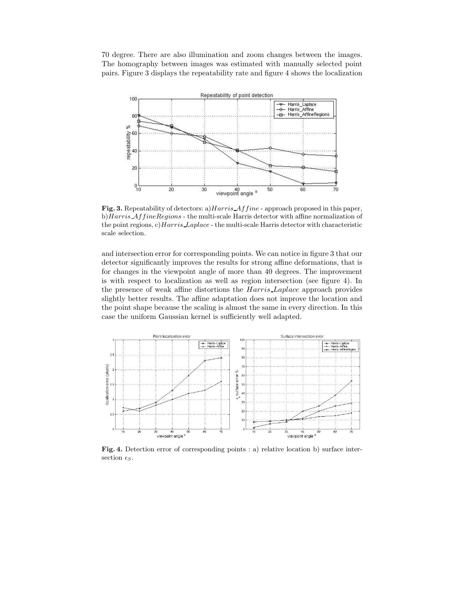70 degree. There are also illumination and zoom changes between the images. The homography between images was estimated with manually selected point pairs. Figure 3 displays the repeatability rate and figure 4 shows the localization



Fig. 3. Repeatability of detectors: a)  $Harris\_Affine$  - approach proposed in this paper, b)Harris AffineRegions - the multi-scale Harris detector with affine normalization of the point regions,  $c) Harris\_Laplace$  - the multi-scale Harris detector with characteristic scale selection.

and intersection error for corresponding points. We can notice in figure 3 that our detector significantly improves the results for strong affine deformations, that is for changes in the viewpoint angle of more than 40 degrees. The improvement is with respect to localization as well as region intersection (see figure 4). In the presence of weak affine distortions the Harris Laplace approach provides slightly better results. The affine adaptation does not improve the location and the point shape because the scaling is almost the same in every direction. In this case the uniform Gaussian kernel is sufficiently well adapted.



Fig. 4. Detection error of corresponding points : a) relative location b) surface intersection  $\epsilon_S$ .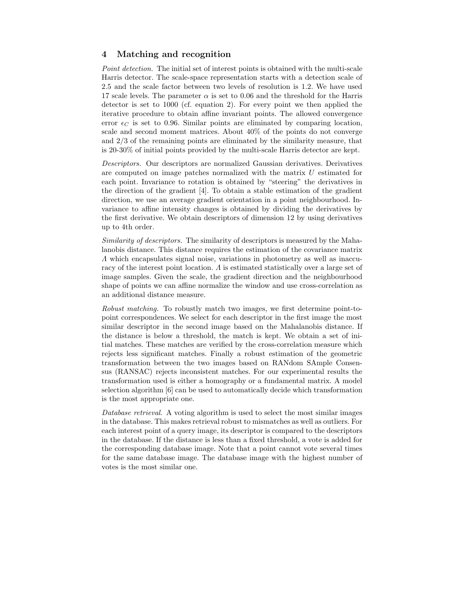### 4 Matching and recognition

Point detection. The initial set of interest points is obtained with the multi-scale Harris detector. The scale-space representation starts with a detection scale of 2.5 and the scale factor between two levels of resolution is 1.2. We have used 17 scale levels. The parameter  $\alpha$  is set to 0.06 and the threshold for the Harris detector is set to 1000 (cf. equation 2). For every point we then applied the iterative procedure to obtain affine invariant points. The allowed convergence error  $\epsilon_C$  is set to 0.96. Similar points are eliminated by comparing location, scale and second moment matrices. About 40% of the points do not converge and 2/3 of the remaining points are eliminated by the similarity measure, that is 20-30% of initial points provided by the multi-scale Harris detector are kept.

Descriptors. Our descriptors are normalized Gaussian derivatives. Derivatives are computed on image patches normalized with the matrix U estimated for each point. Invariance to rotation is obtained by "steering" the derivatives in the direction of the gradient [4]. To obtain a stable estimation of the gradient direction, we use an average gradient orientation in a point neighbourhood. Invariance to affine intensity changes is obtained by dividing the derivatives by the first derivative. We obtain descriptors of dimension 12 by using derivatives up to 4th order.

Similarity of descriptors. The similarity of descriptors is measured by the Mahalanobis distance. This distance requires the estimation of the covariance matrix Λ which encapsulates signal noise, variations in photometry as well as inaccuracy of the interest point location.  $\Lambda$  is estimated statistically over a large set of image samples. Given the scale, the gradient direction and the neighbourhood shape of points we can affine normalize the window and use cross-correlation as an additional distance measure.

Robust matching. To robustly match two images, we first determine point-topoint correspondences. We select for each descriptor in the first image the most similar descriptor in the second image based on the Mahalanobis distance. If the distance is below a threshold, the match is kept. We obtain a set of initial matches. These matches are verified by the cross-correlation measure which rejects less significant matches. Finally a robust estimation of the geometric transformation between the two images based on RANdom SAmple Consensus (RANSAC) rejects inconsistent matches. For our experimental results the transformation used is either a homography or a fundamental matrix. A model selection algorithm [6] can be used to automatically decide which transformation is the most appropriate one.

Database retrieval. A voting algorithm is used to select the most similar images in the database. This makes retrieval robust to mismatches as well as outliers. For each interest point of a query image, its descriptor is compared to the descriptors in the database. If the distance is less than a fixed threshold, a vote is added for the corresponding database image. Note that a point cannot vote several times for the same database image. The database image with the highest number of votes is the most similar one.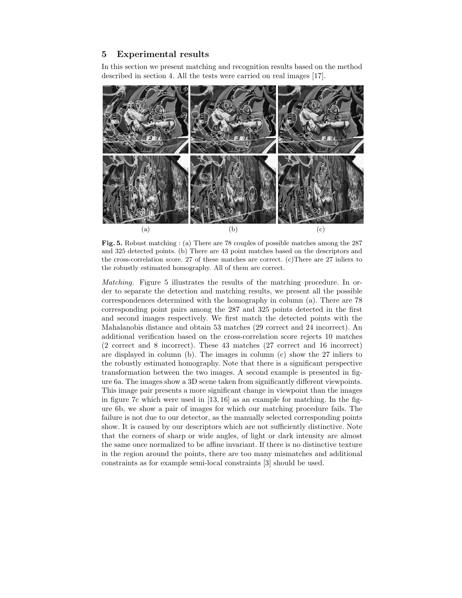## 5 Experimental results

In this section we present matching and recognition results based on the method described in section 4. All the tests were carried on real images [17].



Fig. 5. Robust matching : (a) There are 78 couples of possible matches among the 287 and 325 detected points. (b) There are 43 point matches based on the descriptors and the cross-correlation score. 27 of these matches are correct. (c)There are 27 inliers to the robustly estimated homography. All of them are correct.

Matching. Figure 5 illustrates the results of the matching procedure. In order to separate the detection and matching results, we present all the possible correspondences determined with the homography in column (a). There are 78 corresponding point pairs among the 287 and 325 points detected in the first and second images respectively. We first match the detected points with the Mahalanobis distance and obtain 53 matches (29 correct and 24 incorrect). An additional verification based on the cross-correlation score rejects 10 matches (2 correct and 8 incorrect). These 43 matches (27 correct and 16 incorrect) are displayed in column (b). The images in column (c) show the 27 inliers to the robustly estimated homography. Note that there is a significant perspective transformation between the two images. A second example is presented in figure 6a. The images show a 3D scene taken from significantly different viewpoints. This image pair presents a more significant change in viewpoint than the images in figure 7c which were used in [13, 16] as an example for matching. In the figure 6b, we show a pair of images for which our matching procedure fails. The failure is not due to our detector, as the manually selected corresponding points show. It is caused by our descriptors which are not sufficiently distinctive. Note that the corners of sharp or wide angles, of light or dark intensity are almost the same once normalized to be affine invariant. If there is no distinctive texture in the region around the points, there are too many mismatches and additional constraints as for example semi-local constraints [3] should be used.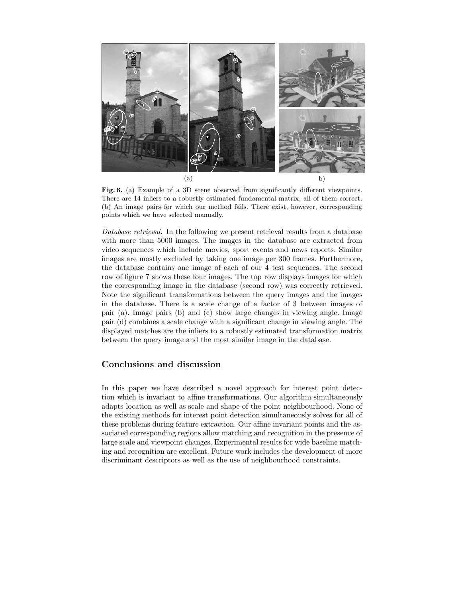

Fig. 6. (a) Example of a 3D scene observed from significantly different viewpoints. There are 14 inliers to a robustly estimated fundamental matrix, all of them correct. (b) An image pairs for which our method fails. There exist, however, corresponding points which we have selected manually.

Database retrieval. In the following we present retrieval results from a database with more than 5000 images. The images in the database are extracted from video sequences which include movies, sport events and news reports. Similar images are mostly excluded by taking one image per 300 frames. Furthermore, the database contains one image of each of our 4 test sequences. The second row of figure 7 shows these four images. The top row displays images for which the corresponding image in the database (second row) was correctly retrieved. Note the significant transformations between the query images and the images in the database. There is a scale change of a factor of 3 between images of pair (a). Image pairs (b) and (c) show large changes in viewing angle. Image pair (d) combines a scale change with a significant change in viewing angle. The displayed matches are the inliers to a robustly estimated transformation matrix between the query image and the most similar image in the database.

#### Conclusions and discussion

In this paper we have described a novel approach for interest point detection which is invariant to affine transformations. Our algorithm simultaneously adapts location as well as scale and shape of the point neighbourhood. None of the existing methods for interest point detection simultaneously solves for all of these problems during feature extraction. Our affine invariant points and the associated corresponding regions allow matching and recognition in the presence of large scale and viewpoint changes. Experimental results for wide baseline matching and recognition are excellent. Future work includes the development of more discriminant descriptors as well as the use of neighbourhood constraints.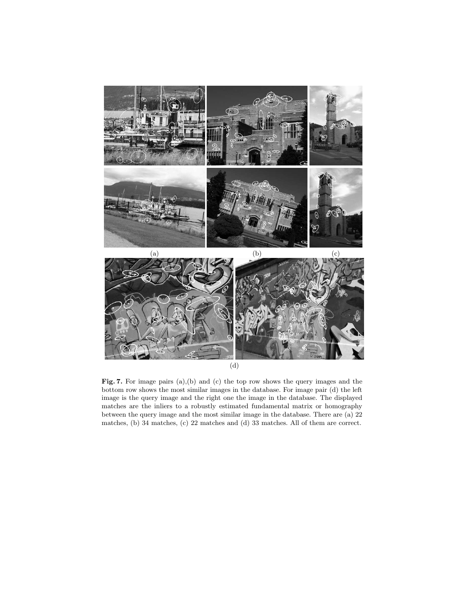

Fig. 7. For image pairs (a),(b) and (c) the top row shows the query images and the bottom row shows the most similar images in the database. For image pair (d) the left image is the query image and the right one the image in the database. The displayed matches are the inliers to a robustly estimated fundamental matrix or homography between the query image and the most similar image in the database. There are (a) 22 matches, (b) 34 matches, (c) 22 matches and (d) 33 matches. All of them are correct.